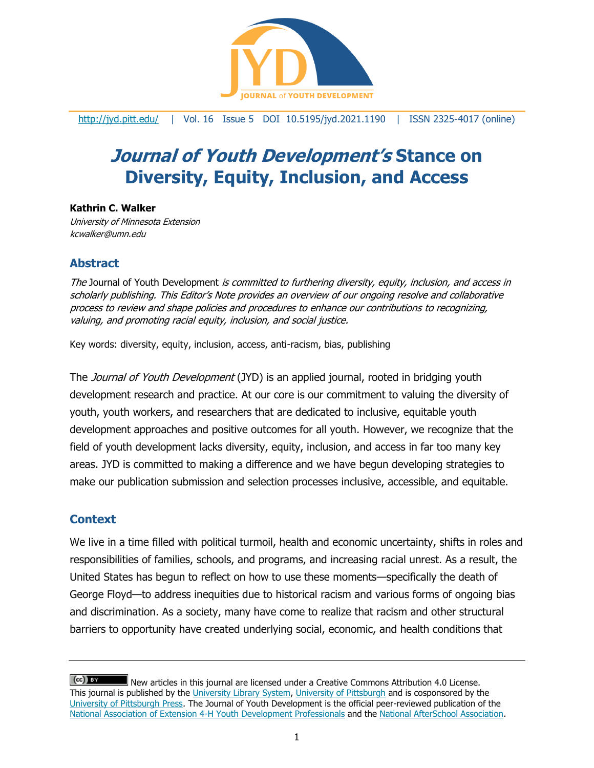

<http://jyd.pitt.edu/> | Vol. 16 Issue 5 DOI 10.5195/jyd.2021.1190 | ISSN 2325-4017 (online)

# **Journal of Youth Development's Stance on Diversity, Equity, Inclusion, and Access**

**Kathrin C. Walker** University of Minnesota Extension kcwalker@umn.edu

## **Abstract**

The Journal of Youth Development is committed to furthering diversity, equity, inclusion, and access in scholarly publishing. This Editor's Note provides an overview of our ongoing resolve and collaborative process to review and shape policies and procedures to enhance our contributions to recognizing, valuing, and promoting racial equity, inclusion, and social justice.

Key words: diversity, equity, inclusion, access, anti-racism, bias, publishing

The Journal of Youth Development (JYD) is an applied journal, rooted in bridging youth development research and practice. At our core is our commitment to valuing the diversity of youth, youth workers, and researchers that are dedicated to inclusive, equitable youth development approaches and positive outcomes for all youth. However, we recognize that the field of youth development lacks diversity, equity, inclusion, and access in far too many key areas. JYD is committed to making a difference and we have begun developing strategies to make our publication submission and selection processes inclusive, accessible, and equitable.

## **Context**

We live in a time filled with political turmoil, health and economic uncertainty, shifts in roles and responsibilities of families, schools, and programs, and increasing racial unrest. As a result, the United States has begun to reflect on how to use these moments—specifically the death of George Floyd—to address inequities due to historical racism and various forms of ongoing bias and discrimination. As a society, many have come to realize that racism and other structural barriers to opportunity have created underlying social, economic, and health conditions that

 $(cc)$  is New articles in this journal are licensed under a Creative Commons Attribution 4.0 License. This journal is published by the [University Library System,](http://www.library.pitt.edu/) [University of Pittsburgh](http://www.pitt.edu/) and is cosponsored by the [University of Pittsburgh Press.](http://www.upress.pitt.edu/upressIndex.aspx) The Journal of Youth Development is the official peer-reviewed publication of the [National Association of Extension 4-H Youth Development Professionals](http://www.nae4ha.com/) and the [National AfterSchool Association.](http://naaweb.org/)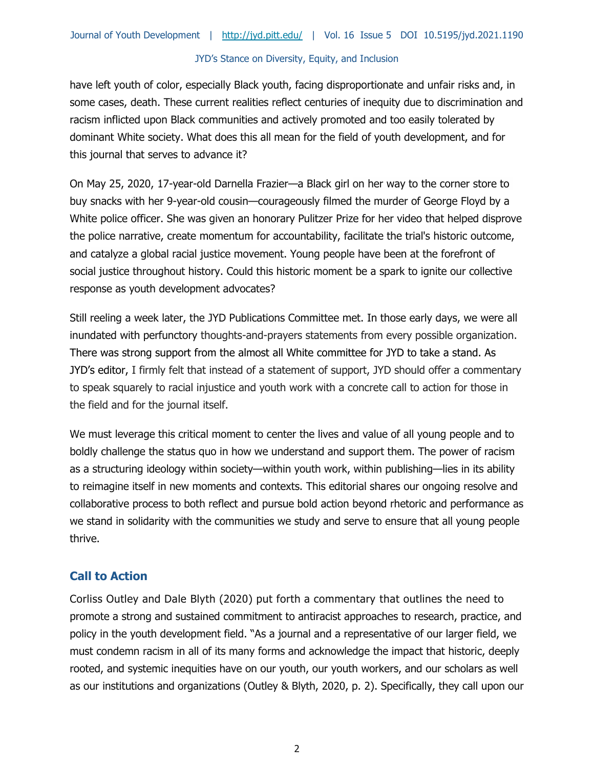have left youth of color, especially Black youth, facing disproportionate and unfair risks and, in some cases, death. These current realities reflect centuries of inequity due to discrimination and racism inflicted upon Black communities and actively promoted and too easily tolerated by dominant White society. What does this all mean for the field of youth development, and for this journal that serves to advance it?

On May 25, 2020, 17-year-old Darnella Frazier—a Black girl on her way to the corner store to buy snacks with her 9-year-old cousin—courageously filmed the murder of George Floyd by a White police officer. She was given an honorary Pulitzer Prize for her video that helped disprove the police narrative, create momentum for accountability, facilitate the trial's historic outcome, and catalyze a global racial justice movement. Young people have been at the forefront of social justice throughout history. Could this historic moment be a spark to ignite our collective response as youth development advocates?

Still reeling a week later, the JYD Publications Committee met. In those early days, we were all inundated with perfunctory thoughts-and-prayers statements from every possible organization. There was strong support from the almost all White committee for JYD to take a stand. As JYD's editor, I firmly felt that instead of a statement of support, JYD should offer a commentary to speak squarely to racial injustice and youth work with a concrete call to action for those in the field and for the journal itself.

We must leverage this critical moment to center the lives and value of all young people and to boldly challenge the status quo in how we understand and support them. The power of racism as a structuring ideology within society—within youth work, within publishing—lies in its ability to reimagine itself in new moments and contexts. This editorial shares our ongoing resolve and collaborative process to both reflect and pursue bold action beyond rhetoric and performance as we stand in solidarity with the communities we study and serve to ensure that all young people thrive.

## **Call to Action**

Corliss Outley and Dale Blyth (2020) put forth a commentary that outlines the need to promote a strong and sustained commitment to antiracist approaches to research, practice, and policy in the youth development field. "As a journal and a representative of our larger field, we must condemn racism in all of its many forms and acknowledge the impact that historic, deeply rooted, and systemic inequities have on our youth, our youth workers, and our scholars as well as our institutions and organizations (Outley & Blyth, 2020, p. 2). Specifically, they call upon our

2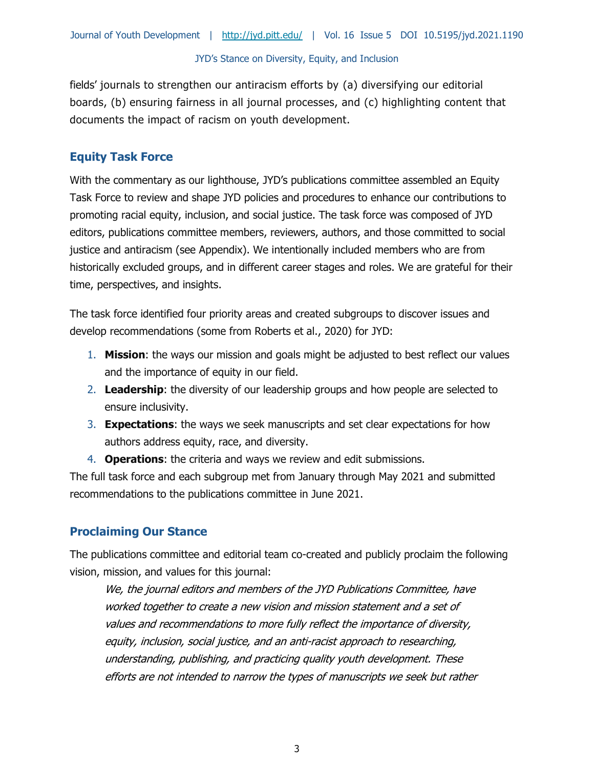fields' journals to strengthen our antiracism efforts by (a) diversifying our editorial boards, (b) ensuring fairness in all journal processes, and (c) highlighting content that documents the impact of racism on youth development.

# **Equity Task Force**

With the commentary as our lighthouse, JYD's publications committee assembled an Equity Task Force to review and shape JYD policies and procedures to enhance our contributions to promoting racial equity, inclusion, and social justice. The task force was composed of JYD editors, publications committee members, reviewers, authors, and those committed to social justice and antiracism (see Appendix). We intentionally included members who are from historically excluded groups, and in different career stages and roles. We are grateful for their time, perspectives, and insights.

The task force identified four priority areas and created subgroups to discover issues and develop recommendations (some from Roberts et al., 2020) for JYD:

- 1. **Mission**: the ways our mission and goals might be adjusted to best reflect our values and the importance of equity in our field.
- 2. **Leadership**: the diversity of our leadership groups and how people are selected to ensure inclusivity.
- 3. **Expectations**: the ways we seek manuscripts and set clear expectations for how authors address equity, race, and diversity.
- 4. **Operations**: the criteria and ways we review and edit submissions.

The full task force and each subgroup met from January through May 2021 and submitted recommendations to the publications committee in June 2021.

# **Proclaiming Our Stance**

The publications committee and editorial team co-created and publicly proclaim the following vision, mission, and values for this journal:

We, the journal editors and members of the JYD Publications Committee, have worked together to create a new vision and mission statement and a set of values and recommendations to more fully reflect the importance of diversity, equity, inclusion, social justice, and an anti-racist approach to researching, understanding, publishing, and practicing quality youth development. These efforts are not intended to narrow the types of manuscripts we seek but rather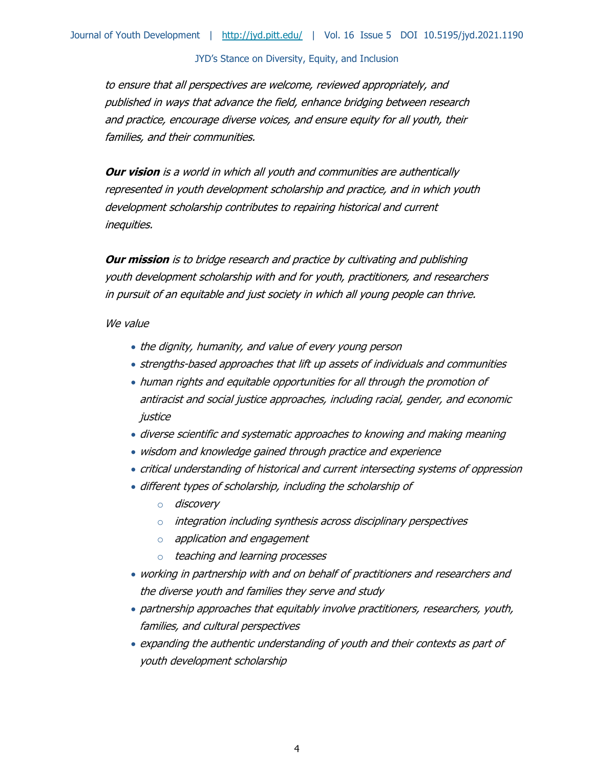to ensure that all perspectives are welcome, reviewed appropriately, and published in ways that advance the field, enhance bridging between research and practice, encourage diverse voices, and ensure equity for all youth, their families, and their communities.

**Our vision** is a world in which all youth and communities are authentically represented in youth development scholarship and practice, and in which youth development scholarship contributes to repairing historical and current inequities.

**Our mission** is to bridge research and practice by cultivating and publishing youth development scholarship with and for youth, practitioners, and researchers in pursuit of an equitable and just society in which all young people can thrive.

We value

- the dignity, humanity, and value of every young person
- strengths-based approaches that lift up assets of individuals and communities
- human rights and equitable opportunities for all through the promotion of antiracist and social justice approaches, including racial, gender, and economic justice
- diverse scientific and systematic approaches to knowing and making meaning
- wisdom and knowledge gained through practice and experience
- critical understanding of historical and current intersecting systems of oppression
- different types of scholarship, including the scholarship of
	- o discovery
	- o integration including synthesis across disciplinary perspectives
	- o application and engagement
	- o teaching and learning processes
- working in partnership with and on behalf of practitioners and researchers and the diverse youth and families they serve and study
- partnership approaches that equitably involve practitioners, researchers, youth, families, and cultural perspectives
- expanding the authentic understanding of youth and their contexts as part of youth development scholarship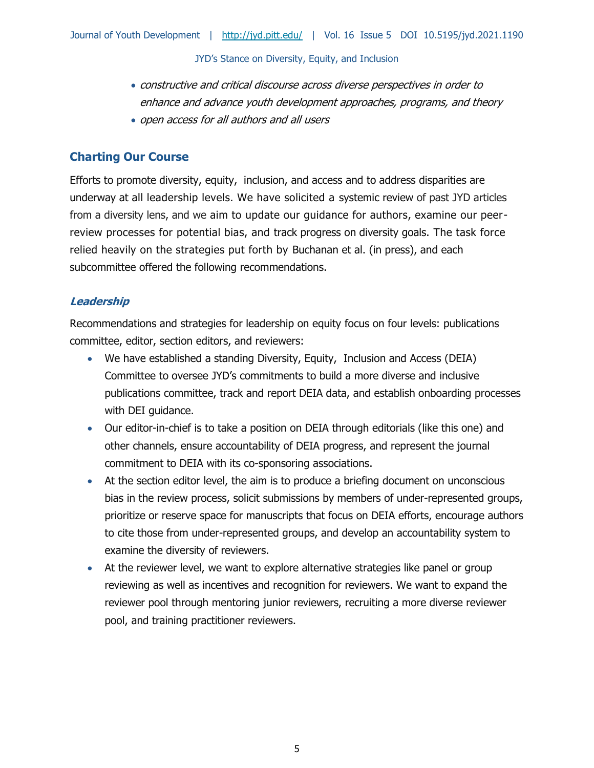- constructive and critical discourse across diverse perspectives in order to enhance and advance youth development approaches, programs, and theory
- open access for all authors and all users

# **Charting Our Course**

Efforts to promote diversity, equity, inclusion, and access and to address disparities are underway at all leadership levels. We have solicited a systemic review of past JYD articles from a diversity lens, and we aim to update our guidance for authors, examine our peerreview processes for potential bias, and track progress on diversity goals. The task force relied heavily on the strategies put forth by Buchanan et al. (in press), and each subcommittee offered the following recommendations.

## **Leadership**

Recommendations and strategies for leadership on equity focus on four levels: publications committee, editor, section editors, and reviewers:

- We have established a standing Diversity, Equity, Inclusion and Access (DEIA) Committee to oversee JYD's commitments to build a more diverse and inclusive publications committee, track and report DEIA data, and establish onboarding processes with DEI guidance.
- Our editor-in-chief is to take a position on DEIA through editorials (like this one) and other channels, ensure accountability of DEIA progress, and represent the journal commitment to DEIA with its co-sponsoring associations.
- At the section editor level, the aim is to produce a briefing document on unconscious bias in the review process, solicit submissions by members of under-represented groups, prioritize or reserve space for manuscripts that focus on DEIA efforts, encourage authors to cite those from under-represented groups, and develop an accountability system to examine the diversity of reviewers.
- At the reviewer level, we want to explore alternative strategies like panel or group reviewing as well as incentives and recognition for reviewers. We want to expand the reviewer pool through mentoring junior reviewers, recruiting a more diverse reviewer pool, and training practitioner reviewers.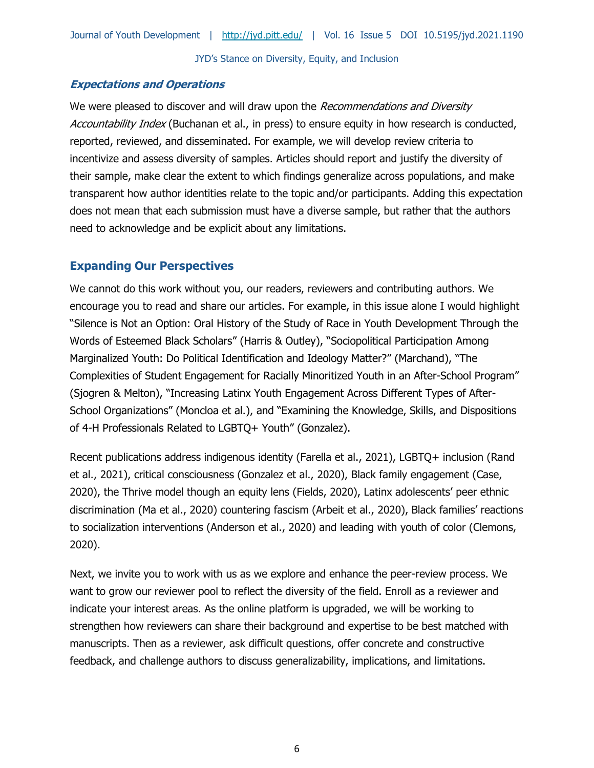## **Expectations and Operations**

We were pleased to discover and will draw upon the Recommendations and Diversity Accountability Index (Buchanan et al., in press) to ensure equity in how research is conducted, reported, reviewed, and disseminated. For example, we will develop review criteria to incentivize and assess diversity of samples. Articles should report and justify the diversity of their sample, make clear the extent to which findings generalize across populations, and make transparent how author identities relate to the topic and/or participants. Adding this expectation does not mean that each submission must have a diverse sample, but rather that the authors need to acknowledge and be explicit about any limitations.

## **Expanding Our Perspectives**

We cannot do this work without you, our readers, reviewers and contributing authors. We encourage you to read and share our articles. For example, in this issue alone I would highlight "Silence is Not an Option: Oral History of the Study of Race in Youth Development Through the Words of Esteemed Black Scholars" (Harris & Outley), "Sociopolitical Participation Among Marginalized Youth: Do Political Identification and Ideology Matter?" (Marchand), "The Complexities of Student Engagement for Racially Minoritized Youth in an After-School Program" (Sjogren & Melton), "Increasing Latinx Youth Engagement Across Different Types of After-School Organizations" (Moncloa et al.), and "Examining the Knowledge, Skills, and Dispositions of 4-H Professionals Related to LGBTQ+ Youth" (Gonzalez).

Recent publications address indigenous identity (Farella et al., 2021), LGBTQ+ inclusion (Rand et al., 2021), critical consciousness (Gonzalez et al., 2020), Black family engagement (Case, 2020), the Thrive model though an equity lens (Fields, 2020), Latinx adolescents' peer ethnic discrimination (Ma et al., 2020) countering fascism (Arbeit et al., 2020), Black families' reactions to socialization interventions (Anderson et al., 2020) and leading with youth of color (Clemons, 2020).

Next, we invite you to work with us as we explore and enhance the peer-review process. We want to grow our reviewer pool to reflect the diversity of the field. Enroll as a reviewer and indicate your interest areas. As the online platform is upgraded, we will be working to strengthen how reviewers can share their background and expertise to be best matched with manuscripts. Then as a reviewer, ask difficult questions, offer concrete and constructive feedback, and challenge authors to discuss generalizability, implications, and limitations.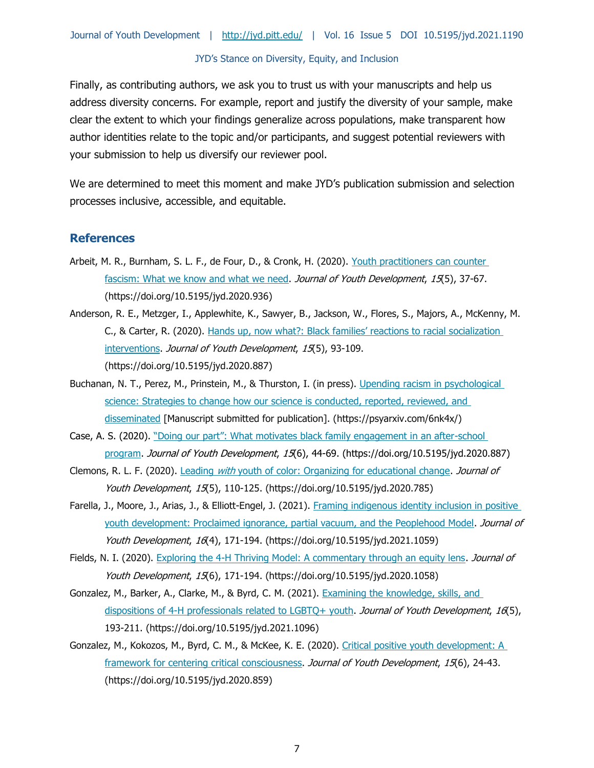Finally, as contributing authors, we ask you to trust us with your manuscripts and help us address diversity concerns. For example, report and justify the diversity of your sample, make clear the extent to which your findings generalize across populations, make transparent how author identities relate to the topic and/or participants, and suggest potential reviewers with your submission to help us diversify our reviewer pool.

We are determined to meet this moment and make JYD's publication submission and selection processes inclusive, accessible, and equitable.

#### **References**

- Arbeit, M. R., Burnham, S. L. F., de Four, D., & Cronk, H. (2020). Youth practitioners can counter [fascism: What we know and what we need.](https://doi.org/10.5195/jyd.2020.936) Journal of Youth Development, 15(5), 37-67. (https://doi.org/10.5195/jyd.2020.936)
- Anderson, R. E., Metzger, I., Applewhite, K., Sawyer, B., Jackson, W., Flores, S., Majors, A., McKenny, M. C., & Carter, R. (2020). [Hands up, now what?: Black famil](https://doi.org/10.5195/jyd.2020.887)ies' reactions to racial socialization [interventions.](https://doi.org/10.5195/jyd.2020.887) Journal of Youth Development, 15(5), 93-109. (https://doi.org/10.5195/jyd.2020.887)
- Buchanan, N. T., Perez, M., Prinstein, M., & Thurston, I. (in press). Upending racism in psychological [science: Strategies to change how our science is conducted, reported, reviewed, and](https://doi.org/10.31234/osf.io/6nk4x)  [disseminated](https://doi.org/10.31234/osf.io/6nk4x) [Manuscript submitted for publication]. (https://psyarxiv.com/6nk4x/)
- Case, A. S. (2020). ["Doing our part": What motivates black family engagement in an after](https://doi.org/10.5195/jyd.2020.887)-school [program.](https://doi.org/10.5195/jyd.2020.887) Journal of Youth Development, 15(6), 44-69. (https://doi.org/10.5195/jyd.2020.887)
- Clemons, R. L. F. (2020). Leading *with* [youth of color: Organizing for educational change.](https://doi.org/10.5195/jyd.2020.785) *Journal of* Youth Development, 15(5), 110-125. (https://doi.org/10.5195/jyd.2020.785)
- Farella, J., Moore, J., Arias, J., & Elliott-Engel, J. (2021). [Framing indigenous identity inclusion in positive](https://doi.org/10.5195/jyd.2021.1059)  [youth development: Proclaimed ignorance, partial vacuum, and the Peoplehood Model.](https://doi.org/10.5195/jyd.2021.1059) Journal of Youth Development, 16(4), 171-194. (https://doi.org/10.5195/jyd.2021.1059)
- Fields, N. I. (2020). [Exploring the 4-H Thriving Model: A commentary through an equity lens.](https://doi.org/10.5195/jyd.2020.1058) Journal of Youth Development, 15(6), 171-194. (https://doi.org/10.5195/jyd.2020.1058)
- Gonzalez, M., Barker, A., Clarke, M., & Byrd, C. M. (2021). [Examining the knowledge, skills, and](https://doi.org/10.5195/jyd.2021.1096)  [dispositions of 4-H professionals related to LGBTQ+ youth.](https://doi.org/10.5195/jyd.2021.1096) Journal of Youth Development, 16(5), 193-211. (https://doi.org/10.5195/jyd.2021.1096)
- Gonzalez, M., Kokozos, M., Byrd, C. M., & McKee, K. E. (2020). [Critical positive youth development: A](https://doi.org/10.5195/jyd.2020.859)  [framework for centering critical consciousness.](https://doi.org/10.5195/jyd.2020.859) Journal of Youth Development, 15(6), 24-43. (https://doi.org/10.5195/jyd.2020.859)